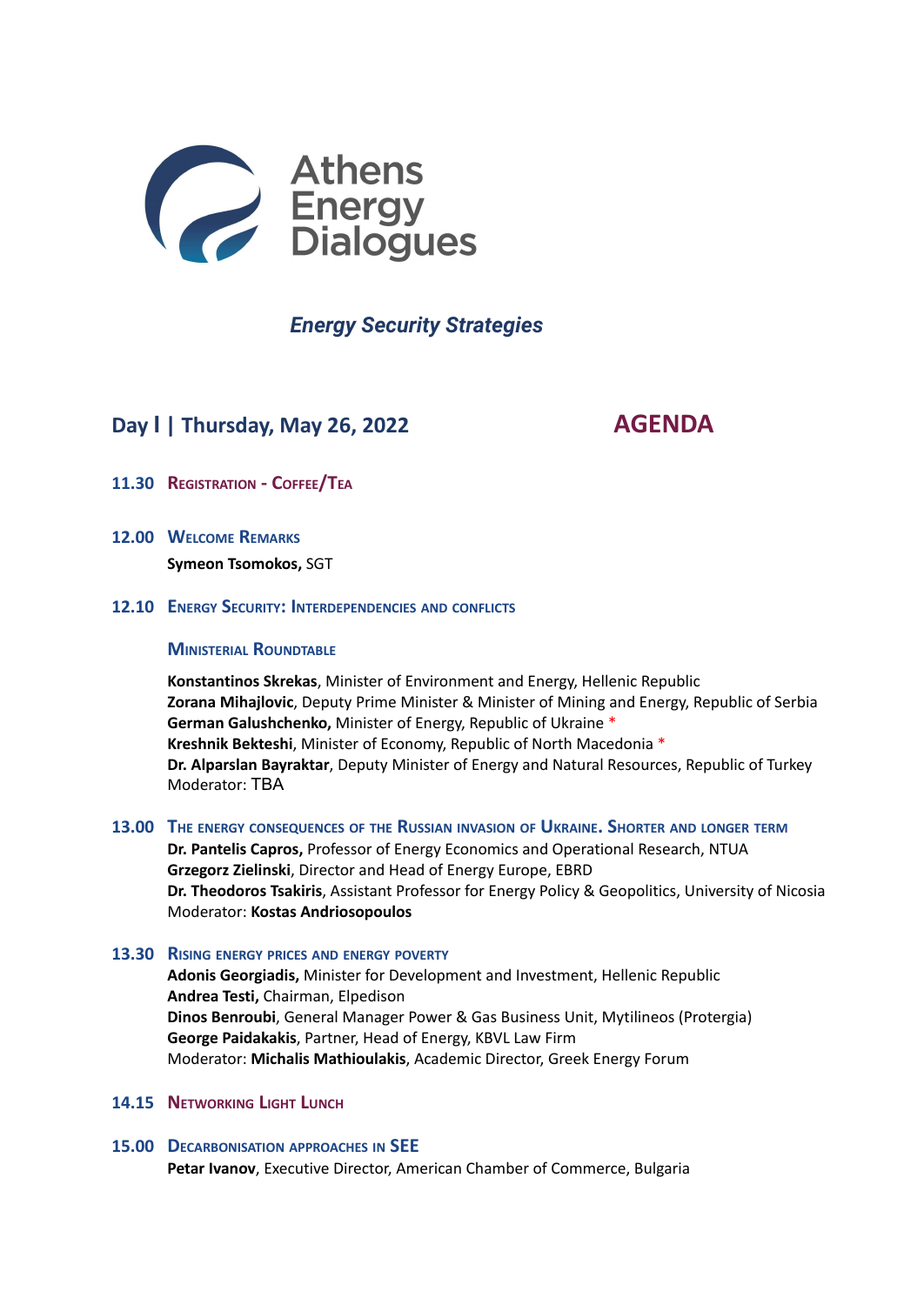

# *Energy Security Strategies*

# **Day Ι | Thursday, May 26, 2022 AGENDA**

- **11.30 REGISTRATION - COFFEE/TEA**
- **12.00 WELCOME REMARKS Symeon Tsomokos,** SGT
- **12.10 ENERGY SECURITY: INTERDEPENDENCIES AND CONFLICTS**

# **MINISTERIAL ROUNDTABLE**

**Konstantinos Skrekas**, Minister of Environment and Energy, Hellenic Republic **Zorana Mihajlovic**, Deputy Prime Minister & Minister of Mining and Energy, Republic of Serbia **German Galushchenko,** Minister of Energy, Republic of Ukraine \* **Kreshnik Bekteshi**, Minister of Economy, Republic of North Macedonia \* **Dr. Alparslan Bayraktar**, Deputy Minister of Energy and Natural Resources, Republic of Turkey Moderator: ΤΒΑ

# **13.00 THE ENERGY CONSEQUENCES OF THE RUSSIAN INVASION OF UKRAINE. SHORTER AND LONGER TERM**

**Dr. Pantelis Capros,** Professor of Energy Economics and Operational Research, NTUA **Grzegorz Zielinski**, Director and Head of Energy Europe, EBRD **Dr. Theodoros Tsakiris**, Assistant Professor for Energy Policy & Geopolitics, University of Nicosia Moderator: **Kostas Andriosopoulos**

# **13.30 RISING ENERGY PRICES AND ENERGY POVERTY**

**Adonis Georgiadis,** Minister for Development and Investment, Hellenic Republic **Andrea Testi,** Chairman, Elpedison **Dinos Benroubi**, General Manager Power & Gas Business Unit, Mytilineos (Protergia) **George Paidakakis**, Partner, Head of Energy, KBVL Law Firm Moderator: **Michalis Mathioulakis**, Academic Director, Greek Energy Forum

# **14.15 NETWORKING LIGHT LUNCH**

# **15.00 DECARBONISATION APPROACHES IN SEE Petar Ivanov**, Executive Director, American Chamber of Commerce, Bulgaria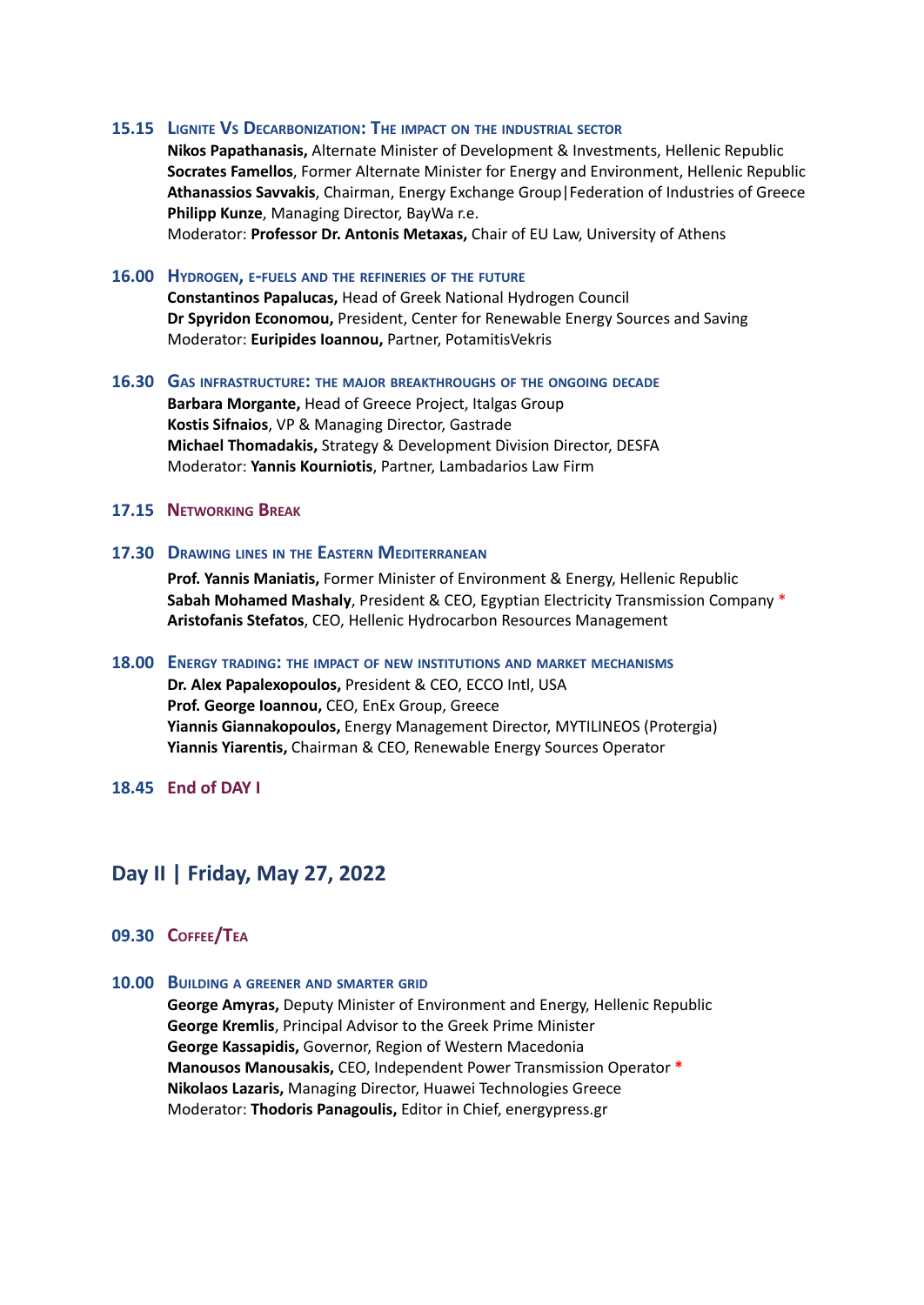#### **15.15 LIGNITE VS DECARBONIZATION: THE IMPACT ON THE INDUSTRIAL SECTOR**

**Nikos Papathanasis,** Alternate Minister of Development & Investments, Hellenic Republic **Socrates Famellos**, Former Alternate Minister for Energy and Environment, Hellenic Republic **Athanassios Savvakis**, Chairman, Energy Exchange Group|Federation of Industries of Greece **Philipp Kunze**, Managing Director, BayWa r.e.

Moderator: **Professor Dr. Antonis Metaxas,** Chair of EU Law, University of Athens

## **16.00 HYDROGEN, E-FUELS AND THE REFINERIES OF THE FUTURE**

**Constantinos Papalucas,** Head of Greek National Hydrogen Council **Dr Spyridon Economou,** President, Center for Renewable Energy Sources and Saving Moderator: **Euripides Ioannou,** Partner, PotamitisVekris

#### **16.30 GAS INFRASTRUCTURE: THE MAJOR BREAKTHROUGHS OF THE ONGOING DECADE**

**Barbara Morgante,** Head of Greece Project, Italgas Group **Kostis Sifnaios**, VP & Managing Director, Gastrade **Michael Thomadakis,** Strategy & Development Division Director, DESFA Moderator: **Yannis Kourniotis**, Partner, Lambadarios Law Firm

### **17.15 NETWORKING BREAK**

# **17.30 DRAWING LINES IN THE EASTERN MEDITERRANEAN**

**Prof. Yannis Maniatis,** Former Minister of Environment & Energy, Hellenic Republic **Sabah Mohamed Mashaly**, President & CEO, Egyptian Electricity Transmission Company \* **Aristofanis Stefatos**, CEO, Hellenic Hydrocarbon Resources Management

#### **18.00 ENERGY TRADING: THE IMPACT OF NEW INSTITUTIONS AND MARKET MECHANISMS**

**Dr. Alex Papalexopoulos,** President & CEO, ECCO Intl, USA **Prof. George Ioannou,** CEO, EnEx Group, Greece **Yiannis Giannakopoulos,** Energy Management Director, MYTILINEOS (Protergia) **Yiannis Yiarentis,** Chairman & CEO, Renewable Energy Sources Operator

**18.45 End of DAY I**

# **Day II | Friday, May 27, 2022**

### **09.30 COFFEE/TEA**

### **10.00 BUILDING <sup>A</sup> GREENER AND SMARTER GRID**

**George Amyras,** Deputy Minister of Environment and Energy, Hellenic Republic **George Kremlis**, Principal Advisor to the Greek Prime Minister **George Kassapidis,** Governor, Region of Western Macedonia **Manousos Manousakis,** CEO, Independent Power Transmission Operator **\* Nikolaos Lazaris,** Managing Director, Huawei Technologies Greece Moderator: **Thodoris Panagoulis,** Editor in Chief, energypress.gr